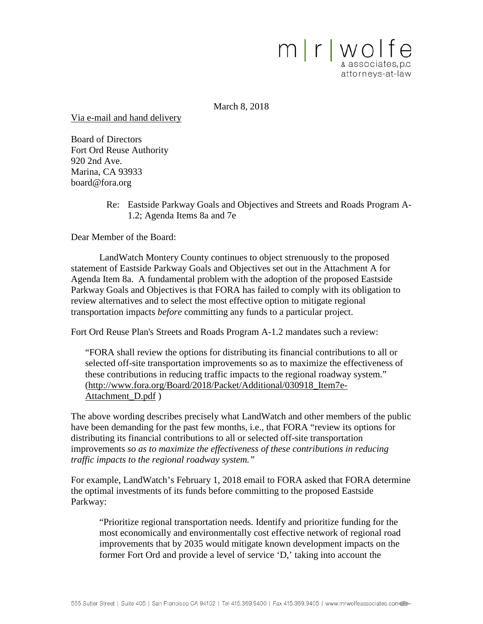

March 8, 2018

Via e-mail and hand delivery

Board of Directors Fort Ord Reuse Authority 920 2nd Ave. Marina, CA 93933 [board@fora.org](mailto:board@fora.org)

> Re: Eastside Parkway Goals and Objectives and Streets and Roads Program A-1.2; Agenda Items 8a and 7e

Dear Member of the Board:

LandWatch Montery County continues to object strenuously to the proposed statement of Eastside Parkway Goals and Objectives set out in the Attachment A for Agenda Item 8a. A fundamental problem with the adoption of the proposed Eastside Parkway Goals and Objectives is that FORA has failed to comply with its obligation to review alternatives and to select the most effective option to mitigate regional transportation impacts *before* committing any funds to a particular project.

Fort Ord Reuse Plan's Streets and Roads Program A-1.2 mandates such a review:

"FORA shall review the options for distributing its financial contributions to all or selected off-site transportation improvements so as to maximize the effectiveness of these contributions in reducing traffic impacts to the regional roadway system." [\(http://www.fora.org/Board/2018/Packet/Additional/030918\\_Item7e-](http://www.fora.org/Board/2018/Packet/Additional/030918_Item7e-Attachment_D.pdf)[Attachment\\_D.pdf](http://www.fora.org/Board/2018/Packet/Additional/030918_Item7e-Attachment_D.pdf) )

The above wording describes precisely what LandWatch and other members of the public have been demanding for the past few months, i.e., that FORA "review its options for distributing its financial contributions to all or selected off-site transportation improvements *so as to maximize the effectiveness of these contributions in reducing traffic impacts to the regional roadway system."*

For example, LandWatch's February 1, 2018 email to FORA asked that FORA determine the optimal investments of its funds before committing to the proposed Eastside Parkway:

"Prioritize regional transportation needs. Identify and prioritize funding for the most economically and environmentally cost effective network of regional road improvements that by 2035 would mitigate known development impacts on the former Fort Ord and provide a level of service 'D,' taking into account the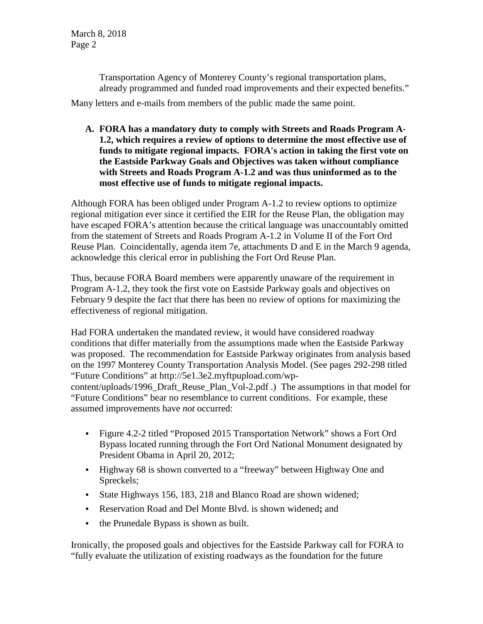> Transportation Agency of Monterey County's regional transportation plans, already programmed and funded road improvements and their expected benefits."

Many letters and e-mails from members of the public made the same point.

**A. FORA has a mandatory duty to comply with Streets and Roads Program A-1.2, which requires a review of options to determine the most effective use of funds to mitigate regional impacts. FORA's action in taking the first vote on the Eastside Parkway Goals and Objectives was taken without compliance with Streets and Roads Program A-1.2 and was thus uninformed as to the most effective use of funds to mitigate regional impacts.**

Although FORA has been obliged under Program A-1.2 to review options to optimize regional mitigation ever since it certified the EIR for the Reuse Plan, the obligation may have escaped FORA's attention because the critical language was unaccountably omitted from the statement of Streets and Roads Program A-1.2 in Volume II of the Fort Ord Reuse Plan. Coincidentally, agenda item 7e, attachments D and E in the March 9 agenda, acknowledge this clerical error in publishing the Fort Ord Reuse Plan.

Thus, because FORA Board members were apparently unaware of the requirement in Program A-1.2, they took the first vote on Eastside Parkway goals and objectives on February 9 despite the fact that there has been no review of options for maximizing the effectiveness of regional mitigation.

Had FORA undertaken the mandated review, it would have considered roadway conditions that differ materially from the assumptions made when the Eastside Parkway was proposed. The recommendation for Eastside Parkway originates from analysis based on the 1997 Monterey County Transportation Analysis Model. (See pages 292-298 titled "Future Conditions" at http://5e1.3e2.myftpupload.com/wpcontent/uploads/1996\_Draft\_Reuse\_Plan\_Vol-2.pdf .) The assumptions in that model for "Future Conditions" bear no resemblance to current conditions. For example, these assumed improvements have *not* occurred:

- Figure 4.2-2 titled "Proposed 2015 Transportation Network" shows a Fort Ord Bypass located running through the Fort Ord National Monument designated by President Obama in April 20, 2012;
- Highway 68 is shown converted to a "freeway" between Highway One and Spreckels;
- State Highways 156, 183, 218 and Blanco Road are shown widened;
- Reservation Road and Del Monte Blvd. is shown widened**;** and
- the Prunedale Bypass is shown as built.

Ironically, the proposed goals and objectives for the Eastside Parkway call for FORA to "fully evaluate the utilization of existing roadways as the foundation for the future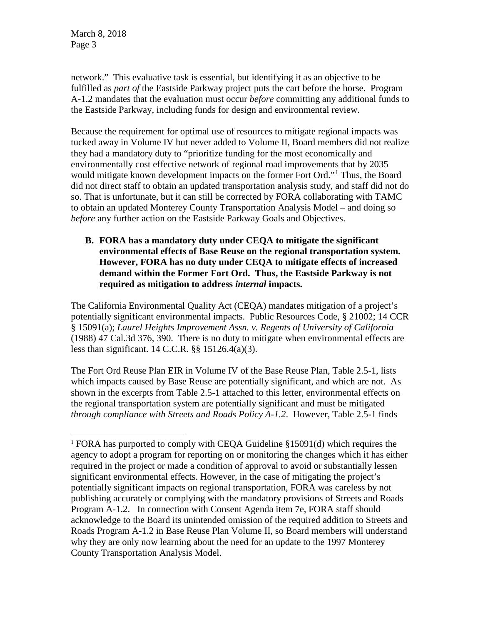network." This evaluative task is essential, but identifying it as an objective to be fulfilled as *part of* the Eastside Parkway project puts the cart before the horse. Program A-1.2 mandates that the evaluation must occur *before* committing any additional funds to the Eastside Parkway, including funds for design and environmental review.

Because the requirement for optimal use of resources to mitigate regional impacts was tucked away in Volume IV but never added to Volume II, Board members did not realize they had a mandatory duty to "prioritize funding for the most economically and environmentally cost effective network of regional road improvements that by 2035 would mitigate known development impacts on the former Fort Ord."[1](#page-2-0) Thus, the Board did not direct staff to obtain an updated transportation analysis study, and staff did not do so. That is unfortunate, but it can still be corrected by FORA collaborating with TAMC to obtain an updated Monterey County Transportation Analysis Model – and doing so *before* any further action on the Eastside Parkway Goals and Objectives.

### **B. FORA has a mandatory duty under CEQA to mitigate the significant environmental effects of Base Reuse on the regional transportation system. However, FORA has no duty under CEQA to mitigate effects of increased demand within the Former Fort Ord. Thus, the Eastside Parkway is not required as mitigation to address** *internal* **impacts.**

The California Environmental Quality Act (CEQA) mandates mitigation of a project's potentially significant environmental impacts. Public Resources Code, § 21002; 14 CCR § 15091(a); *Laurel Heights Improvement Assn. v. Regents of University of California* (1988) 47 Cal.3d 376, 390. There is no duty to mitigate when environmental effects are less than significant. 14 C.C.R. §§ 15126.4(a)(3).

The Fort Ord Reuse Plan EIR in Volume IV of the Base Reuse Plan, Table 2.5-1, lists which impacts caused by Base Reuse are potentially significant, and which are not. As shown in the excerpts from Table 2.5-1 attached to this letter, environmental effects on the regional transportation system are potentially significant and must be mitigated *through compliance with Streets and Roads Policy A-1.2*. However, Table 2.5-1 finds

<span id="page-2-0"></span> <sup>1</sup> FORA has purported to comply with CEQA Guideline §15091(d) which requires the agency to adopt a program for reporting on or monitoring the changes which it has either required in the project or made a condition of approval to avoid or substantially lessen significant environmental effects. However, in the case of mitigating the project's potentially significant impacts on regional transportation, FORA was careless by not publishing accurately or complying with the mandatory provisions of Streets and Roads Program A-1.2. In connection with Consent Agenda item 7e, FORA staff should acknowledge to the Board its unintended omission of the required addition to Streets and Roads Program A-1.2 in Base Reuse Plan Volume II, so Board members will understand why they are only now learning about the need for an update to the 1997 Monterey County Transportation Analysis Model.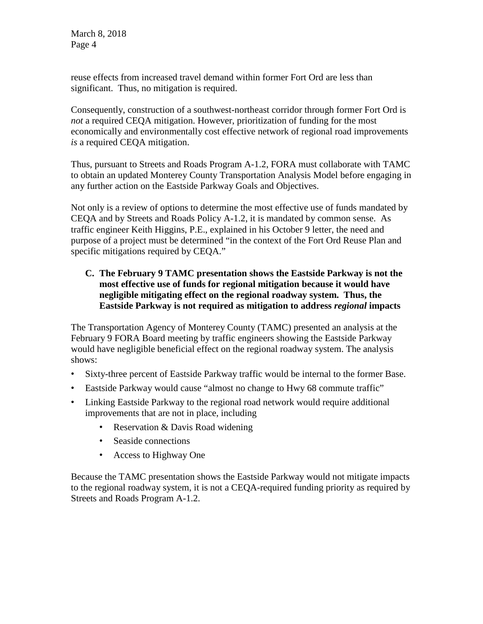reuse effects from increased travel demand within former Fort Ord are less than significant. Thus, no mitigation is required.

Consequently, construction of a southwest-northeast corridor through former Fort Ord is *not* a required CEQA mitigation. However, prioritization of funding for the most economically and environmentally cost effective network of regional road improvements *is* a required CEQA mitigation.

Thus, pursuant to Streets and Roads Program A-1.2, FORA must collaborate with TAMC to obtain an updated Monterey County Transportation Analysis Model before engaging in any further action on the Eastside Parkway Goals and Objectives.

Not only is a review of options to determine the most effective use of funds mandated by CEQA and by Streets and Roads Policy A-1.2, it is mandated by common sense. As traffic engineer Keith Higgins, P.E., explained in his October 9 letter, the need and purpose of a project must be determined "in the context of the Fort Ord Reuse Plan and specific mitigations required by CEQA."

### **C. The February 9 TAMC presentation shows the Eastside Parkway is not the most effective use of funds for regional mitigation because it would have negligible mitigating effect on the regional roadway system. Thus, the Eastside Parkway is not required as mitigation to address** *regional* **impacts**

The Transportation Agency of Monterey County (TAMC) presented an analysis at the February 9 FORA Board meeting by traffic engineers showing the Eastside Parkway would have negligible beneficial effect on the regional roadway system. The analysis shows:

- Sixty-three percent of Eastside Parkway traffic would be internal to the former Base.
- Eastside Parkway would cause "almost no change to Hwy 68 commute traffic"
- Linking Eastside Parkway to the regional road network would require additional improvements that are not in place, including
	- Reservation & Davis Road widening
	- Seaside connections
	- Access to Highway One

Because the TAMC presentation shows the Eastside Parkway would not mitigate impacts to the regional roadway system, it is not a CEQA-required funding priority as required by Streets and Roads Program A-1.2.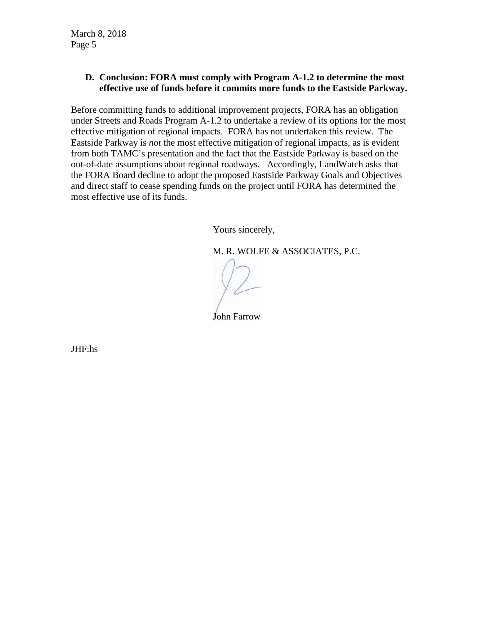## **D. Conclusion: FORA must comply with Program A-1.2 to determine the most effective use of funds before it commits more funds to the Eastside Parkway.**

Before committing funds to additional improvement projects, FORA has an obligation under Streets and Roads Program A-1.2 to undertake a review of its options for the most effective mitigation of regional impacts. FORA has not undertaken this review. The Eastside Parkway is *not* the most effective mitigation of regional impacts, as is evident from both TAMC's presentation and the fact that the Eastside Parkway is based on the out-of-date assumptions about regional roadways. Accordingly, LandWatch asks that the FORA Board decline to adopt the proposed Eastside Parkway Goals and Objectives and direct staff to cease spending funds on the project until FORA has determined the most effective use of its funds.

Yours sincerely,

M. R. WOLFE & ASSOCIATES, P.C.

John Farrow

JHF:hs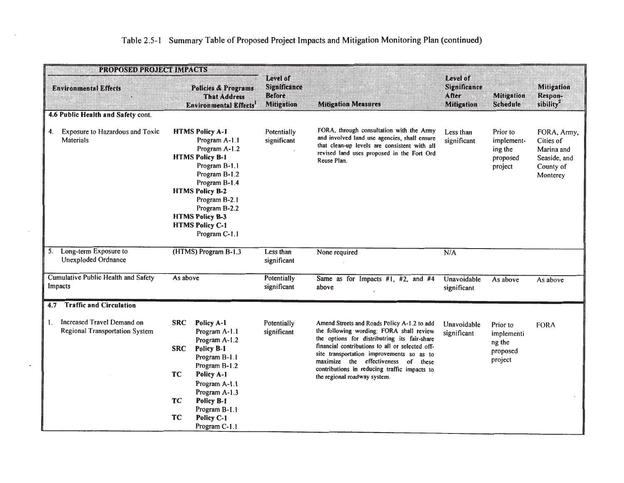# Table 2.5-1 Summary Table of Proposed Project Impacts and Mitigation Monitoring Plan (continued)

 $\sim$ 

 $\sim$ 

 $\sim$ 

| RRDIOS DE RODO I IN AGES                                                  |                                                                                                                                                                                                                                                                                                    |                                                             |                                                                                                                                                                                                                                                                                                                                                                   |                                           |                                                          |                                                                                 |
|---------------------------------------------------------------------------|----------------------------------------------------------------------------------------------------------------------------------------------------------------------------------------------------------------------------------------------------------------------------------------------------|-------------------------------------------------------------|-------------------------------------------------------------------------------------------------------------------------------------------------------------------------------------------------------------------------------------------------------------------------------------------------------------------------------------------------------------------|-------------------------------------------|----------------------------------------------------------|---------------------------------------------------------------------------------|
| <b>Environmental Effects</b>                                              | Policies & Programs<br><b>TIME ANGLICES</b><br><b>Mitholaean Mark</b>                                                                                                                                                                                                                              | latin i<br>Significance<br><b>BOOK</b><br><b>Mitigation</b> | <b>Mitigation Measures</b>                                                                                                                                                                                                                                                                                                                                        | ianina<br>Skanfoa mae<br>wa<br>Mitigation | Miligation<br>seremin                                    | Mitigation<br>Respon-<br>sibility <sup>2</sup>                                  |
| 4.6 Public Health and Safety cont.                                        |                                                                                                                                                                                                                                                                                                    |                                                             |                                                                                                                                                                                                                                                                                                                                                                   |                                           |                                                          |                                                                                 |
| Exposure to Hazardous and Toxic<br>4.<br><b>Materials</b>                 | <b>HTMS Policy A-1</b><br>Program A-1.1<br>Program A-1.2<br><b>HTMS Policy B-1</b><br>Program B-1.1<br>Program B-1.2<br>Program B-1.4<br><b>HTMS Policy B-2</b><br>Program B-2.1<br>Program B-2.2<br><b>HTMS Policy B-3</b><br><b>HTMS Policy C-1</b><br>Program C-1.1                             | Potentially<br>significant                                  | FORA, through consultation with the Army<br>and involved land use agencies, shall ensure<br>that clean-up levels are consistent with all<br>revised land uses proposed in the Fort Ord<br>Reuse Plan.                                                                                                                                                             | Less than<br>significant                  | Prior to<br>implement-<br>ing the<br>proposed<br>project | FORA, Army,<br>Cities of<br>Marina and<br>Seaside, and<br>County of<br>Monterey |
| Long-term Exposure to<br>5.<br>Unexploded Ordnance                        | (HTMS) Program B-1.3                                                                                                                                                                                                                                                                               | Less than<br>significant                                    | None required                                                                                                                                                                                                                                                                                                                                                     | N/A                                       |                                                          |                                                                                 |
| <b>Cumulative Public Health and Safety</b><br>Impacts                     | As above                                                                                                                                                                                                                                                                                           | Potentially<br>significant                                  | Same as for Impacts #1, #2, and #4<br>above                                                                                                                                                                                                                                                                                                                       | Unavoidable<br>significant                | As above                                                 | As above                                                                        |
| <b>Traffic and Circulation</b><br>4.7                                     |                                                                                                                                                                                                                                                                                                    |                                                             |                                                                                                                                                                                                                                                                                                                                                                   |                                           |                                                          |                                                                                 |
| Increased Travel Demand on<br>1.<br><b>Regional Transportation System</b> | Policy A-1<br><b>SRC</b><br>Program A-1.1<br>Program A-1.2<br><b>Policy B-1</b><br><b>SRC</b><br>Program B-1.1<br>Program B-1.2<br><b>TC</b><br><b>Policy A-1</b><br>Program A-1.1<br>Program A-1.3<br><b>TC</b><br><b>Policy B-1</b><br>Program B-1.1<br>Policy C-1<br><b>TC</b><br>Program C-1.1 | Potentially<br>significant                                  | Amend Streets and Roads Policy A-1.2 to add<br>the following wording: FORA shall review<br>the options for distributring its fair-share<br>financial contributions to all or selected off-<br>site transportation improvements so as to<br>maximize the effectiveness of<br>these<br>contributions in reducing traffic impacts to<br>the regional roadway system. | Unavoidable<br>significant                | Prior to<br>implementi<br>ng the<br>proposed<br>project  | <b>FORA</b>                                                                     |